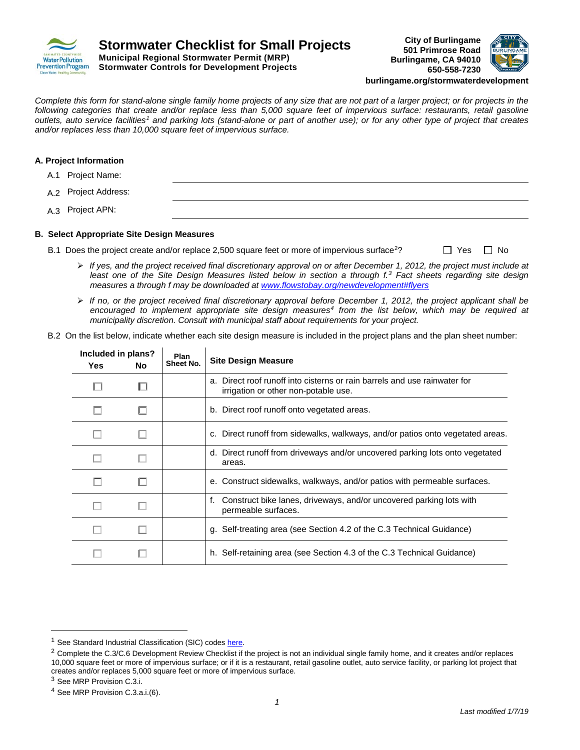



**burlingame.org/stormwaterdevelopment**

*Complete this form for stand-alone single family home projects of any size that are not part of a larger project; or for projects in the*  following categories that create and/or replace less than 5,000 square feet of impervious surface: restaurants, retail gasoline *outlets, auto service facilities1 and parking lots (stand-alone or part of another use); or for any other type of project that creates and/or replaces less than 10,000 square feet of impervious surface.* 

## **A. Project Information**

- A.1 Project Name:
- A.2 Project Address:
- A.3 Project APN:

#### **B. Select Appropriate Site Design Measures**

- B.1 Does the project create and/or replace 2,500 square feet or more of impervious surface<sup>2</sup>?  $\Box$  Yes  $\Box$  No
	- *If yes, and the project received final discretionary approval on or after December 1, 2012, the project must include at least one of the Site Design Measures listed below in section a through f. <sup>3</sup> Fact sheets regarding site design measures a through f may be downloaded at www.flowstobay.org/newdevelopment#flyers*
	- *If no, or the project received final discretionary approval before December 1, 2012, the project applicant shall be encouraged to implement appropriate site design measures4 from the list below, which may be required at municipality discretion. Consult with municipal staff about requirements for your project.*
- B.2 On the list below, indicate whether each site design measure is included in the project plans and the plan sheet number:

| Included in plans?<br>Plan<br>Sheet No.<br><b>Yes</b><br>No. |  | <b>Site Design Measure</b>                                                                                        |  |  |
|--------------------------------------------------------------|--|-------------------------------------------------------------------------------------------------------------------|--|--|
|                                                              |  | a. Direct roof runoff into cisterns or rain barrels and use rainwater for<br>irrigation or other non-potable use. |  |  |
|                                                              |  | b. Direct roof runoff onto vegetated areas.                                                                       |  |  |
|                                                              |  | c. Direct runoff from sidewalks, walkways, and/or patios onto vegetated areas.                                    |  |  |
|                                                              |  | d. Direct runoff from driveways and/or uncovered parking lots onto vegetated<br>areas.                            |  |  |
|                                                              |  | e. Construct sidewalks, walkways, and/or patios with permeable surfaces.                                          |  |  |
|                                                              |  | Construct bike lanes, driveways, and/or uncovered parking lots with<br>f.<br>permeable surfaces.                  |  |  |
|                                                              |  | g. Self-treating area (see Section 4.2 of the C.3 Technical Guidance)                                             |  |  |
|                                                              |  | h. Self-retaining area (see Section 4.3 of the C.3 Technical Guidance)                                            |  |  |

 $\overline{a}$ 

<sup>&</sup>lt;sup>1</sup> See Standard Industrial Classification (SIC) codes here.

<sup>&</sup>lt;sup>2</sup> Complete the C.3/C.6 Development Review Checklist if the project is not an individual single family home, and it creates and/or replaces 10,000 square feet or more of impervious surface; or if it is a restaurant, retail gasoline outlet, auto service facility, or parking lot project that creates and/or replaces 5,000 square feet or more of impervious surface.

<sup>3</sup> See MRP Provision C.3.i.

<sup>4</sup> See MRP Provision C.3.a.i.(6).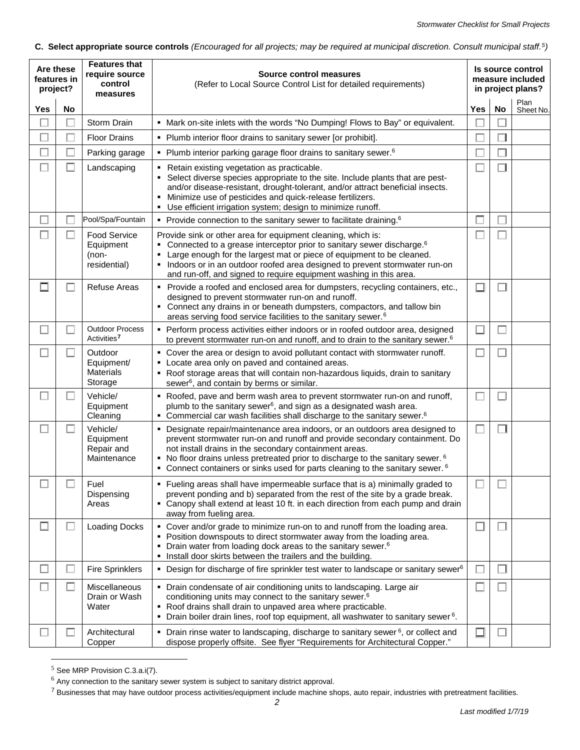# **C. Select appropriate source controls** *(Encouraged for all projects; may be required at municipal discretion. Consult municipal staff.5)*

| Are these<br>features in<br>project? |           | <b>Features that</b><br>require source<br>control<br>measures | Source control measures<br>(Refer to Local Source Control List for detailed requirements)                                                                                                                                                                                                                                                                                                                     |              | Is source control<br>measure included<br>in project plans? |                   |  |
|--------------------------------------|-----------|---------------------------------------------------------------|---------------------------------------------------------------------------------------------------------------------------------------------------------------------------------------------------------------------------------------------------------------------------------------------------------------------------------------------------------------------------------------------------------------|--------------|------------------------------------------------------------|-------------------|--|
| Yes                                  | <b>No</b> |                                                               |                                                                                                                                                                                                                                                                                                                                                                                                               | <b>Yes</b>   | No                                                         | Plan<br>Sheet No. |  |
|                                      |           | Storm Drain                                                   | • Mark on-site inlets with the words "No Dumping! Flows to Bay" or equivalent.                                                                                                                                                                                                                                                                                                                                |              |                                                            |                   |  |
|                                      |           | <b>Floor Drains</b>                                           | • Plumb interior floor drains to sanitary sewer [or prohibit].                                                                                                                                                                                                                                                                                                                                                |              |                                                            |                   |  |
|                                      |           | Parking garage                                                | • Plumb interior parking garage floor drains to sanitary sewer. <sup>6</sup>                                                                                                                                                                                                                                                                                                                                  |              |                                                            |                   |  |
| □                                    | П         | Landscaping                                                   | • Retain existing vegetation as practicable.<br>• Select diverse species appropriate to the site. Include plants that are pest-<br>and/or disease-resistant, drought-tolerant, and/or attract beneficial insects.<br>Minimize use of pesticides and quick-release fertilizers.<br>Use efficient irrigation system; design to minimize runoff.<br>٠                                                            |              | $\Box$                                                     |                   |  |
| □                                    |           | Pool/Spa/Fountain                                             | Provide connection to the sanitary sewer to facilitate draining. <sup>6</sup>                                                                                                                                                                                                                                                                                                                                 |              |                                                            |                   |  |
|                                      |           | <b>Food Service</b><br>Equipment<br>(non-<br>residential)     | Provide sink or other area for equipment cleaning, which is:<br>• Connected to a grease interceptor prior to sanitary sewer discharge. <sup>6</sup><br>Large enough for the largest mat or piece of equipment to be cleaned.<br>• Indoors or in an outdoor roofed area designed to prevent stormwater run-on<br>and run-off, and signed to require equipment washing in this area.                            |              |                                                            |                   |  |
| $\Box$                               |           | <b>Refuse Areas</b>                                           | • Provide a roofed and enclosed area for dumpsters, recycling containers, etc.,<br>designed to prevent stormwater run-on and runoff.<br>• Connect any drains in or beneath dumpsters, compactors, and tallow bin<br>areas serving food service facilities to the sanitary sewer. <sup>6</sup>                                                                                                                 | ΙI           | $\mathbf{I}$                                               |                   |  |
| $\mathcal{L}$                        |           | <b>Outdoor Process</b><br>Activities <sup>7</sup>             | • Perform process activities either indoors or in roofed outdoor area, designed<br>to prevent stormwater run-on and runoff, and to drain to the sanitary sewer. <sup>6</sup>                                                                                                                                                                                                                                  | $\mathbf{L}$ | ш                                                          |                   |  |
| L.                                   |           | Outdoor<br>Equipment/<br><b>Materials</b><br>Storage          | • Cover the area or design to avoid pollutant contact with stormwater runoff.<br>• Locate area only on paved and contained areas.<br>• Roof storage areas that will contain non-hazardous liquids, drain to sanitary<br>sewer <sup>6</sup> , and contain by berms or similar.                                                                                                                                 |              |                                                            |                   |  |
|                                      |           | Vehicle/<br>Equipment<br>Cleaning                             | . Roofed, pave and berm wash area to prevent stormwater run-on and runoff,<br>plumb to the sanitary sewer <sup>6</sup> , and sign as a designated wash area.<br>• Commercial car wash facilities shall discharge to the sanitary sewer. <sup>6</sup>                                                                                                                                                          |              | Ш                                                          |                   |  |
| Ш                                    |           | Vehicle/<br>Equipment<br>Repair and<br>Maintenance            | • Designate repair/maintenance area indoors, or an outdoors area designed to<br>prevent stormwater run-on and runoff and provide secondary containment. Do<br>not install drains in the secondary containment areas.<br>No floor drains unless pretreated prior to discharge to the sanitary sewer. <sup>6</sup><br>• Connect containers or sinks used for parts cleaning to the sanitary sewer. <sup>6</sup> | ⊏            | H                                                          |                   |  |
|                                      |           | Fuel<br>Dispensing<br>Areas                                   | • Fueling areas shall have impermeable surface that is a) minimally graded to<br>prevent ponding and b) separated from the rest of the site by a grade break.<br>• Canopy shall extend at least 10 ft. in each direction from each pump and drain<br>away from fueling area.                                                                                                                                  |              |                                                            |                   |  |
| □                                    | П         | <b>Loading Docks</b>                                          | • Cover and/or grade to minimize run-on to and runoff from the loading area.<br>• Position downspouts to direct stormwater away from the loading area.<br>• Drain water from loading dock areas to the sanitary sewer. <sup>6</sup><br>Install door skirts between the trailers and the building.<br>٠                                                                                                        | $\Box$       | $\Box$                                                     |                   |  |
| $\Box$                               |           | <b>Fire Sprinklers</b>                                        | • Design for discharge of fire sprinkler test water to landscape or sanitary sewer <sup>6</sup>                                                                                                                                                                                                                                                                                                               | $\Box$       |                                                            |                   |  |
|                                      |           | Miscellaneous<br>Drain or Wash<br>Water                       | • Drain condensate of air conditioning units to landscaping. Large air<br>conditioning units may connect to the sanitary sewer. <sup>6</sup><br>• Roof drains shall drain to unpaved area where practicable.<br>• Drain boiler drain lines, roof top equipment, all washwater to sanitary sewer <sup>6</sup> .                                                                                                |              |                                                            |                   |  |
|                                      |           | Architectural<br>Copper                                       | • Drain rinse water to landscaping, discharge to sanitary sewer <sup>6</sup> , or collect and<br>dispose properly offsite. See flyer "Requirements for Architectural Copper."                                                                                                                                                                                                                                 | $\Box$       |                                                            |                   |  |

 $<sup>5</sup>$  See MRP Provision C.3.a.i(7).</sup>

 $\overline{a}$ 

 $6$  Any connection to the sanitary sewer system is subject to sanitary district approval.

<sup>&</sup>lt;sup>7</sup> Businesses that may have outdoor process activities/equipment include machine shops, auto repair, industries with pretreatment facilities.